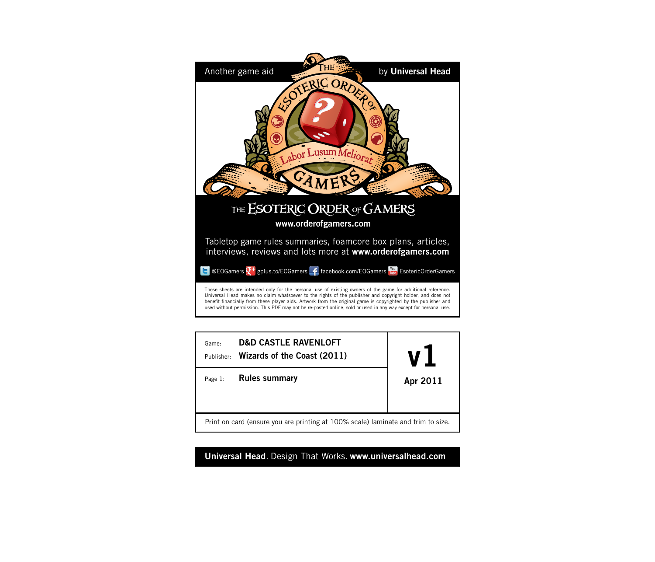



**Universal Head**. Design That Works. **www.universalhead.com**